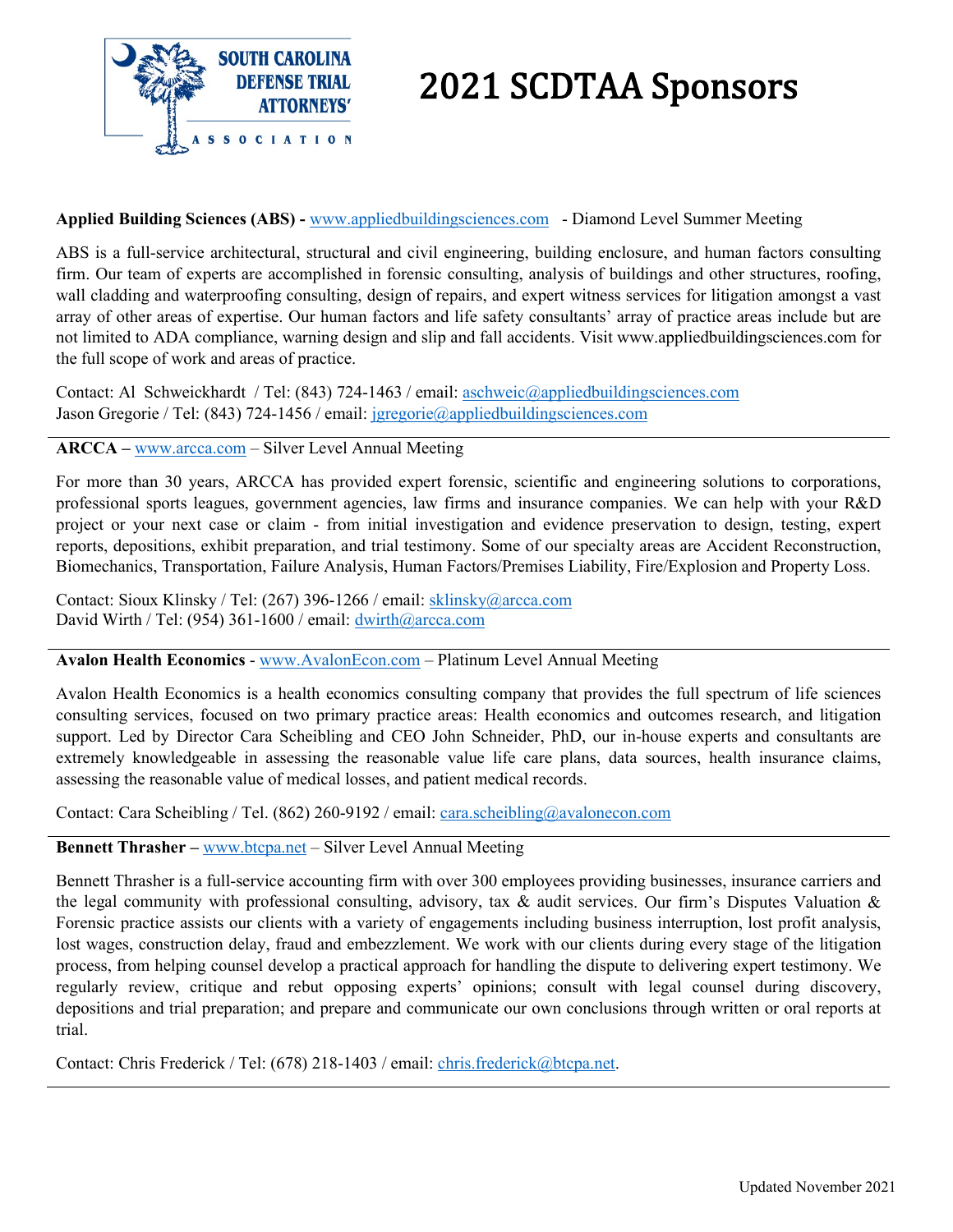

# 2021 SCDTAA Sponsors

## **Applied Building Sciences (ABS) -** [www.appliedbuildingsciences.com](http://www.appliedbuildingsciences.com/) - Diamond Level Summer Meeting

ABS is a full-service architectural, structural and civil engineering, building enclosure, and human factors consulting firm. Our team of experts are accomplished in forensic consulting, analysis of buildings and other structures, roofing, wall cladding and waterproofing consulting, design of repairs, and expert witness services for litigation amongst a vast array of other areas of expertise. Our human factors and life safety consultants' array of practice areas include but are not limited to ADA compliance, warning design and slip and fall accidents. Visit www.appliedbuildingsciences.com for the full scope of work and areas of practice.

Contact: Al Schweickhardt / Tel: (843) 724-1463 / email: [aschweic@appliedbuildingsciences.com](mailto:aschweic@appliedbuildingsciences.com) Jason Gregorie / Tel: (843) 724-1456 / email: [jgregorie@appliedbuildingsciences.com](mailto:jgregorie@appliedbuildingsciences.com)

**ARCCA –** [www.arcca.com](http://www.arcca.com/) – Silver Level Annual Meeting

For more than 30 years, ARCCA has provided expert forensic, scientific and engineering solutions to corporations, professional sports leagues, government agencies, law firms and insurance companies. We can help with your R&D project or your next case or claim - from initial investigation and evidence preservation to design, testing, expert reports, depositions, exhibit preparation, and trial testimony. Some of our specialty areas are Accident Reconstruction, Biomechanics, Transportation, Failure Analysis, Human Factors/Premises Liability, Fire/Explosion and Property Loss.

Contact: Sioux Klinsky / Tel: (267) 396-1266 / email: [sklinsky@arcca.com](mailto:sklinsky@arcca.com) David Wirth / Tel: (954) 361-1600 / email: [dwirth@arcca.com](mailto:dwirth@arcca.com)

## **Avalon Health Economics** - [www.AvalonEcon.com](http://www.avalonecon.com/) – Platinum Level Annual Meeting

Avalon Health Economics is a health economics consulting company that provides the full spectrum of life sciences consulting services, focused on two primary practice areas: Health economics and outcomes research, and litigation support. Led by Director Cara Scheibling and CEO John Schneider, PhD, our in-house experts and consultants are extremely knowledgeable in assessing the reasonable value life care plans, data sources, health insurance claims, assessing the reasonable value of medical losses, and patient medical records.

Contact: Cara Scheibling / Tel. (862) 260-9192 / email: [cara.scheibling@avalonecon.com](mailto:cara.scheibling@avalonecon.com)

**Bennett Thrasher –** [www.btcpa.net](http://www.btcpa.net/) – Silver Level Annual Meeting

Bennett Thrasher is a full-service accounting firm with over 300 employees providing businesses, insurance carriers and the legal community with professional consulting, advisory, tax  $\&$  audit services. Our firm's Disputes Valuation  $\&$ Forensic practice assists our clients with a variety of engagements including business interruption, lost profit analysis, lost wages, construction delay, fraud and embezzlement. We work with our clients during every stage of the litigation process, from helping counsel develop a practical approach for handling the dispute to delivering expert testimony. We regularly review, critique and rebut opposing experts' opinions; consult with legal counsel during discovery, depositions and trial preparation; and prepare and communicate our own conclusions through written or oral reports at trial.

Contact: Chris Frederick / Tel: (678) 218-1403 / email: [chris.frederick@btcpa.net.](mailto:chris.frederick@btcpa.net)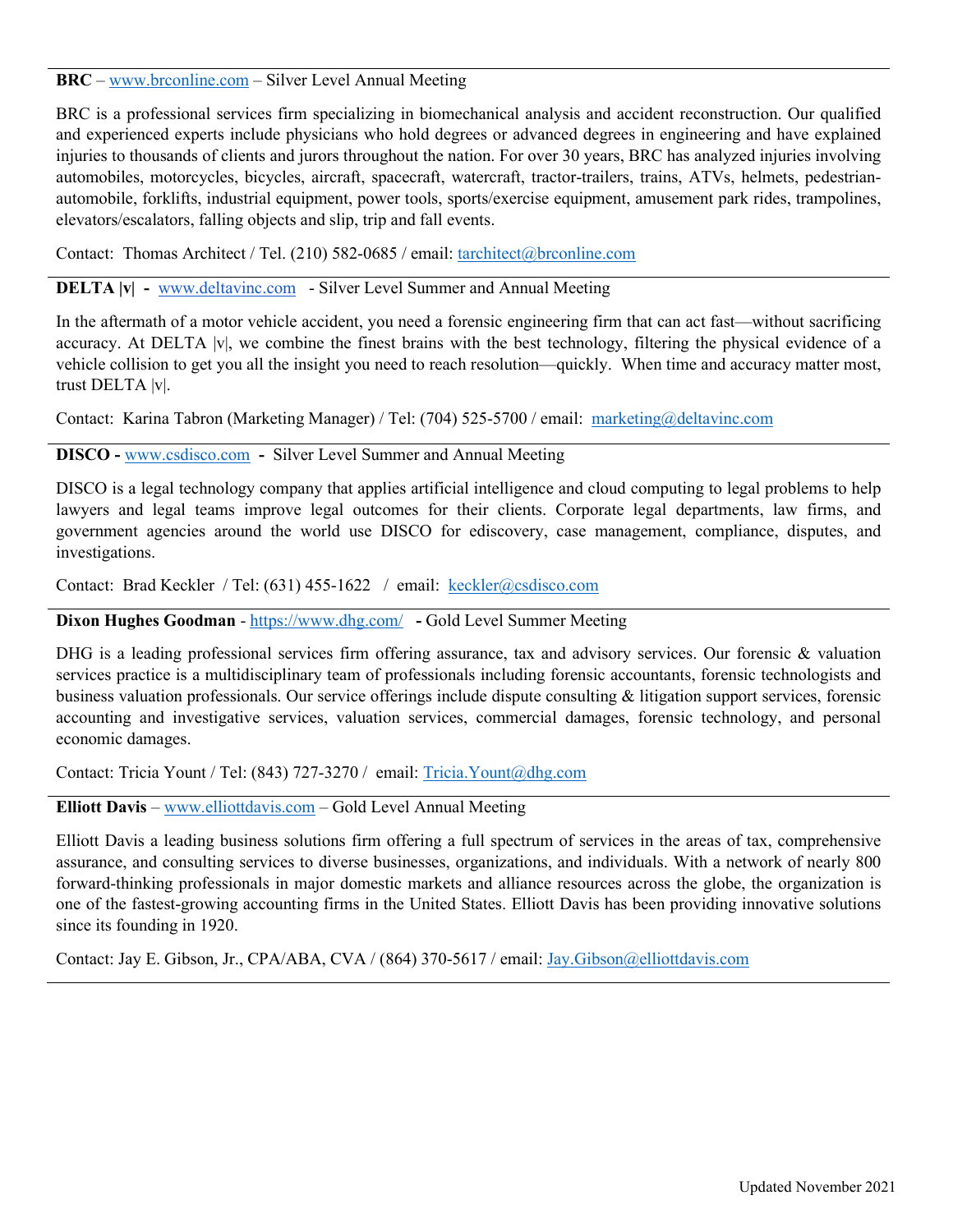## **BRC** – [www.brconline.com](http://www.brconline.com/) – Silver Level Annual Meeting

BRC is a professional services firm specializing in biomechanical analysis and accident reconstruction. Our qualified and experienced experts include physicians who hold degrees or advanced degrees in engineering and have explained injuries to thousands of clients and jurors throughout the nation. For over 30 years, BRC has analyzed injuries involving automobiles, motorcycles, bicycles, aircraft, spacecraft, watercraft, tractor-trailers, trains, ATVs, helmets, pedestrianautomobile, forklifts, industrial equipment, power tools, sports/exercise equipment, amusement park rides, trampolines, elevators/escalators, falling objects and slip, trip and fall events.

Contact: Thomas Architect / Tel. (210) 582-0685 / email: [tarchitect@brconline.com](mailto:tarchitect@brconline.com)

### **DELTA |v| -** [www.deltavinc.com](http://www.deltavinc.com/) - Silver Level Summer and Annual Meeting

In the aftermath of a motor vehicle accident, you need a forensic engineering firm that can act fast—without sacrificing accuracy. At DELTA |v|, we combine the finest brains with the best technology, filtering the physical evidence of a vehicle collision to get you all the insight you need to reach resolution—quickly. When time and accuracy matter most, trust DELTA |v|.

Contact: Karina Tabron (Marketing Manager) / Tel: (704) 525-5700 / email: [marketing@deltavinc.com](mailto:marketing@deltavinc.com)

## **DISCO -** [www.csdisco.com](http://www.csdisco.com/) **-** Silver Level Summer and Annual Meeting

DISCO is a legal technology company that applies artificial intelligence and cloud computing to legal problems to help lawyers and legal teams improve legal outcomes for their clients. Corporate legal departments, law firms, and government agencies around the world use DISCO for ediscovery, case management, compliance, disputes, and investigations.

Contact: Brad Keckler / Tel: (631) 455-1622 / email: [keckler@csdisco.com](mailto:keckler@csdisco.com)

**Dixon Hughes Goodman** - <https://www.dhg.com/> **-** Gold Level Summer Meeting

DHG is a leading professional services firm offering assurance, tax and advisory services. Our forensic & valuation services practice is a multidisciplinary team of professionals including forensic accountants, forensic technologists and business valuation professionals. Our service offerings include dispute consulting & litigation support services, forensic accounting and investigative services, valuation services, commercial damages, forensic technology, and personal economic damages.

Contact: Tricia Yount / Tel: (843) 727-3270 / email: Tricia. Yount@dhg.com

**Elliott Davis** – [www.elliottdavis.com](http://www.elliottdavis.com/) – Gold Level Annual Meeting

Elliott Davis a leading business solutions firm offering a full spectrum of services in the areas of tax, comprehensive assurance, and consulting services to diverse businesses, organizations, and individuals. With a network of nearly 800 forward-thinking professionals in major domestic markets and alliance resources across the globe, the organization is one of the fastest-growing accounting firms in the United States. Elliott Davis has been providing innovative solutions since its founding in 1920.

Contact: Jay E. Gibson, Jr., CPA/ABA, CVA / (864) 370-5617 / email: [Jay.Gibson@elliottdavis.com](mailto:Jay.Gibson@elliottdavis.com)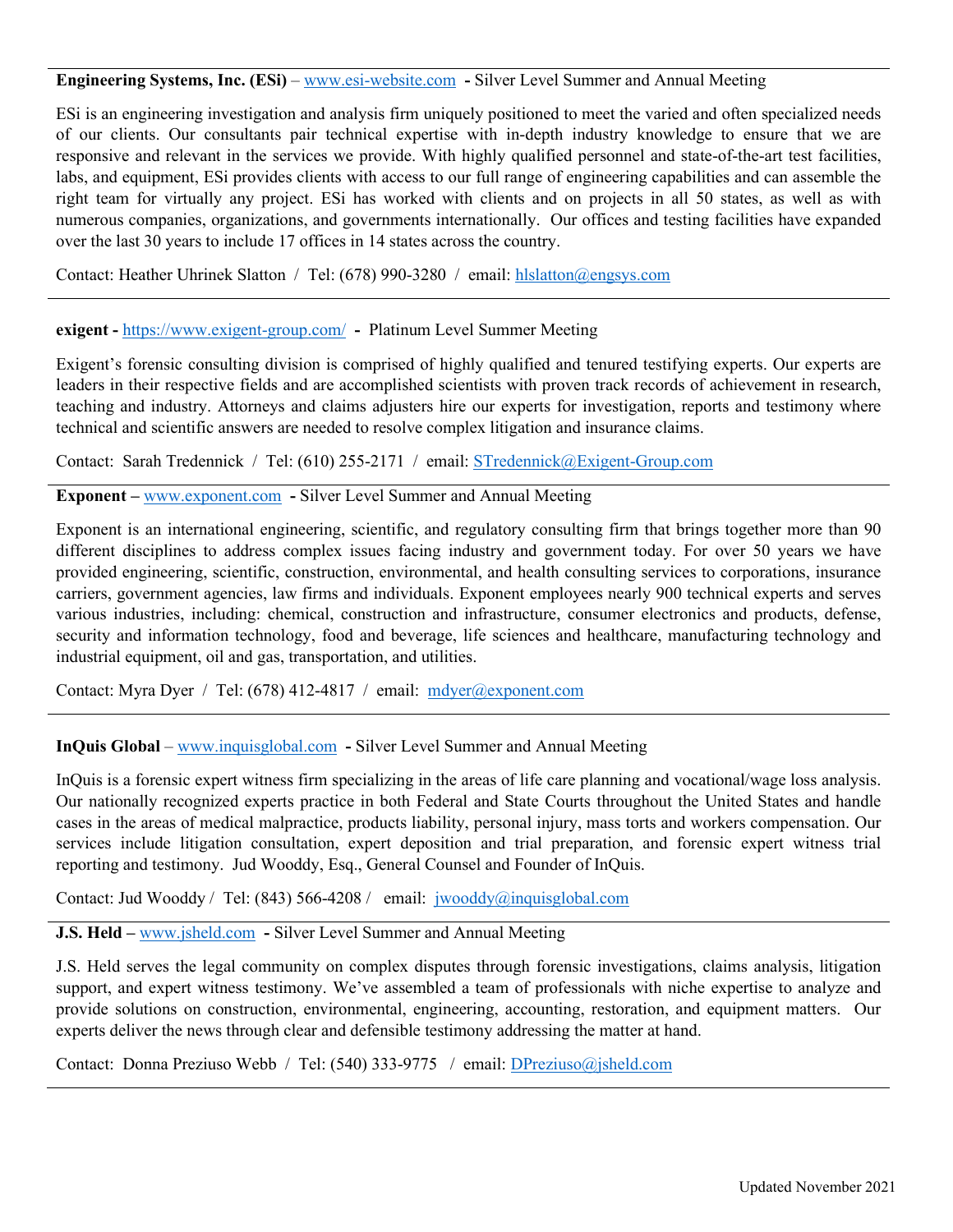## **Engineering Systems, Inc. (ESi)** – [www.esi-website.com](http://www.esi-website.com/) **-** Silver Level Summer and Annual Meeting

ESi is an engineering investigation and analysis firm uniquely positioned to meet the varied and often specialized needs of our clients. Our consultants pair technical expertise with in-depth industry knowledge to ensure that we are responsive and relevant in the services we provide. With highly qualified personnel and state-of-the-art test facilities, labs, and equipment, ESi provides clients with access to our full range of engineering capabilities and can assemble the right team for virtually any project. ESi has worked with clients and on projects in all 50 states, as well as with numerous companies, organizations, and governments internationally. Our offices and testing facilities have expanded over the last 30 years to include 17 offices in 14 states across the country.

Contact: Heather Uhrinek Slatton / Tel: (678) 990-3280 / email: [hlslatton@engsys.com](mailto:hlslatton@engsys.com)

### **exigent -** <https://www.exigent-group.com/> **-** Platinum Level Summer Meeting

Exigent's forensic consulting division is comprised of highly qualified and tenured testifying experts. Our experts are leaders in their respective fields and are accomplished scientists with proven track records of achievement in research, teaching and industry. Attorneys and claims adjusters hire our experts for investigation, reports and testimony where technical and scientific answers are needed to resolve complex litigation and insurance claims.

Contact: Sarah Tredennick / Tel: (610) 255-2171 / email: [STredennick@Exigent-Group.com](mailto:STredennick@Exigent-Group.com)

**Exponent –** [www.exponent.com](http://www.exponent.com/) **-** Silver Level Summer and Annual Meeting

Exponent is an international engineering, scientific, and regulatory consulting firm that brings together more than 90 different disciplines to address complex issues facing industry and government today. For over 50 years we have provided engineering, scientific, construction, environmental, and health consulting services to corporations, insurance carriers, government agencies, law firms and individuals. Exponent employees nearly 900 technical experts and serves various industries, including: chemical, construction and infrastructure, consumer electronics and products, defense, security and information technology, food and beverage, life sciences and healthcare, manufacturing technology and industrial equipment, oil and gas, transportation, and utilities.

Contact: Myra Dyer / Tel: (678) 412-4817 / email: [mdyer@exponent.com](mailto:mdyer@exponent.com)

**InQuis Global** – [www.inquisglobal.com](http://www.inquisglobal.com/) **-** Silver Level Summer and Annual Meeting

InQuis is a forensic expert witness firm specializing in the areas of life care planning and vocational/wage loss analysis. Our nationally recognized experts practice in both Federal and State Courts throughout the United States and handle cases in the areas of medical malpractice, products liability, personal injury, mass torts and workers compensation. Our services include litigation consultation, expert deposition and trial preparation, and forensic expert witness trial reporting and testimony. Jud Wooddy, Esq., General Counsel and Founder of InQuis.

Contact: Jud Wooddy / Tel: (843) 566-4208 / email: [jwooddy@inquisglobal.com](mailto:jwooddy@inquisglobal.com)

**J.S. Held –** [www.jsheld.com](http://www.jsheld.com/) **-** Silver Level Summer and Annual Meeting

J.S. Held serves the legal community on complex disputes through forensic investigations, claims analysis, litigation support, and expert witness testimony. We've assembled a team of professionals with niche expertise to analyze and provide solutions on construction, environmental, engineering, accounting, restoration, and equipment matters. Our experts deliver the news through clear and defensible testimony addressing the matter at hand.

Contact: Donna Preziuso Webb / Tel: (540) 333-9775 / email: [DPreziuso@jsheld.com](mailto:DPreziuso@jsheld.com)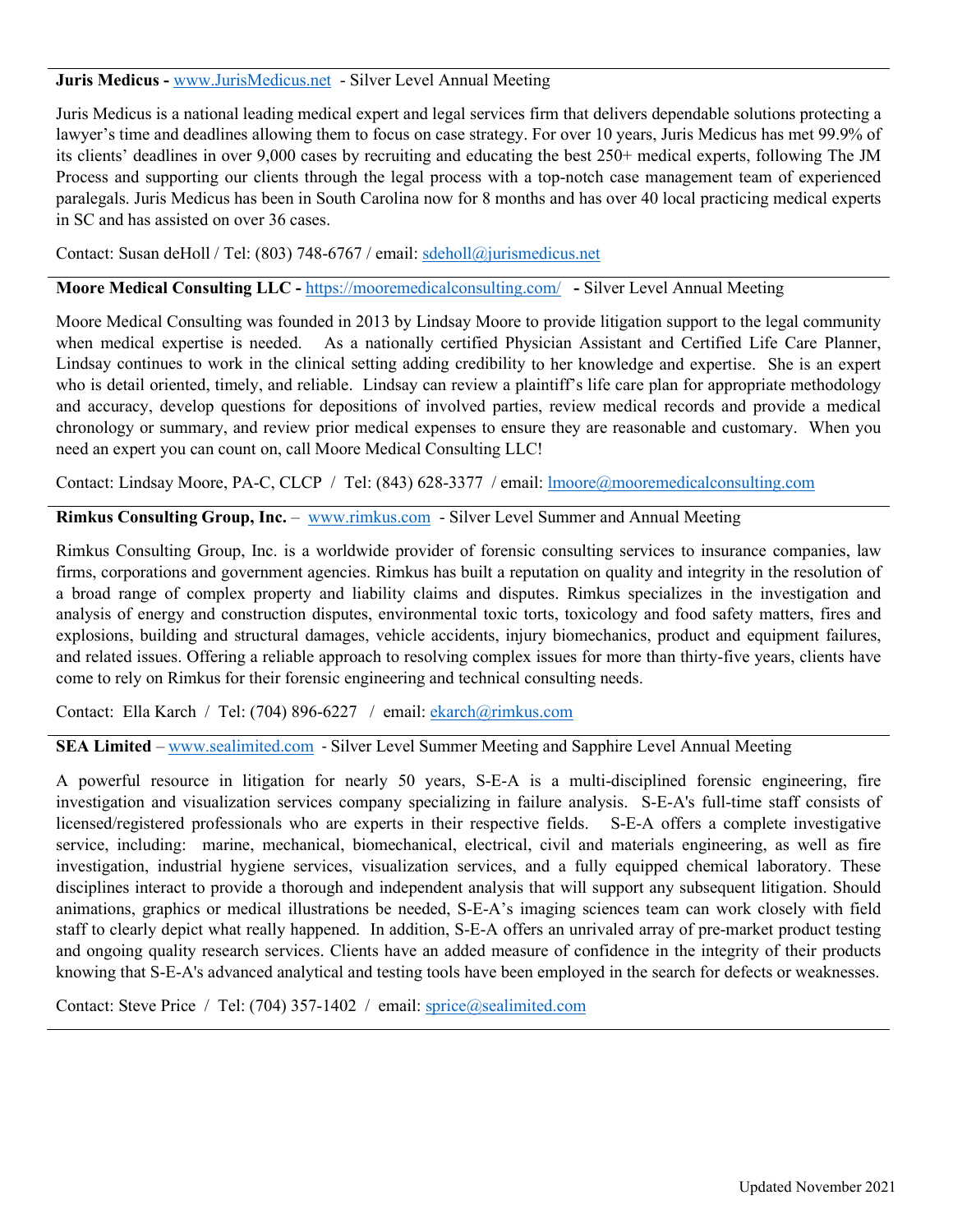## **Juris Medicus -** [www.JurisMedicus.net](http://www.jurismedicus.net/) - Silver Level Annual Meeting

Juris Medicus is a national leading medical expert and legal services firm that delivers dependable solutions protecting a lawyer's time and deadlines allowing them to focus on case strategy. For over 10 years, Juris Medicus has met 99.9% of its clients' deadlines in over 9,000 cases by recruiting and educating the best 250+ medical experts, following The JM Process and supporting our clients through the legal process with a top-notch case management team of experienced paralegals. Juris Medicus has been in South Carolina now for 8 months and has over 40 local practicing medical experts in SC and has assisted on over 36 cases.

Contact: Susan deHoll / Tel: (803) 748-6767 / email: [sdeholl@jurismedicus.net](mailto:sdeholl@jurismedicus.net)

**Moore Medical Consulting LLC -** <https://mooremedicalconsulting.com/> **-** Silver Level Annual Meeting

Moore Medical Consulting was founded in 2013 by Lindsay Moore to provide litigation support to the legal community when medical expertise is needed. As a nationally certified Physician Assistant and Certified Life Care Planner, Lindsay continues to work in the clinical setting adding credibility to her knowledge and expertise. She is an expert who is detail oriented, timely, and reliable. Lindsay can review a plaintiff's life care plan for appropriate methodology and accuracy, develop questions for depositions of involved parties, review medical records and provide a medical chronology or summary, and review prior medical expenses to ensure they are reasonable and customary. When you need an expert you can count on, call Moore Medical Consulting LLC!

Contact: Lindsay Moore, PA-C, CLCP / Tel: (843) 628-3377 / email: [lmoore@mooremedicalconsulting.com](mailto:lmoore@mooremedicalconsulting.com)

**Rimkus Consulting Group, Inc.** – [www.rimkus.com](http://www.rimkus.com/) - Silver Level Summer and Annual Meeting

Rimkus Consulting Group, Inc. is a worldwide provider of forensic consulting services to insurance companies, law firms, corporations and government agencies. Rimkus has built a reputation on quality and integrity in the resolution of a broad range of complex property and liability claims and disputes. Rimkus specializes in the investigation and analysis of energy and construction disputes, environmental toxic torts, toxicology and food safety matters, fires and explosions, building and structural damages, vehicle accidents, injury biomechanics, product and equipment failures, and related issues. Offering a reliable approach to resolving complex issues for more than thirty-five years, clients have come to rely on Rimkus for their forensic engineering and technical consulting needs.

Contact: Ella Karch / Tel: (704) 896-6227 / email: [ekarch@rimkus.com](mailto:ekarch@rimkus.com)

**SEA Limited** – [www.sealimited.com](http://www.sealimited.com/) - Silver Level Summer Meeting and Sapphire Level Annual Meeting

A powerful resource in litigation for nearly 50 years, S-E-A is a multi-disciplined forensic engineering, fire investigation and visualization services company specializing in failure analysis. S-E-A's full-time staff consists of licensed/registered professionals who are experts in their respective fields. S-E-A offers a complete investigative service, including: marine, mechanical, biomechanical, electrical, civil and materials engineering, as well as fire investigation, industrial hygiene services, visualization services, and a fully equipped chemical laboratory. These disciplines interact to provide a thorough and independent analysis that will support any subsequent litigation. Should animations, graphics or medical illustrations be needed, S-E-A's imaging sciences team can work closely with field staff to clearly depict what really happened. In addition, S-E-A offers an unrivaled array of pre-market product testing and ongoing quality research services. Clients have an added measure of confidence in the integrity of their products knowing that S-E-A's advanced analytical and testing tools have been employed in the search for defects or weaknesses.

Contact: Steve Price / Tel: (704) 357-1402 / email: [sprice@sealimited.com](mailto:sprice@sealimited.com)